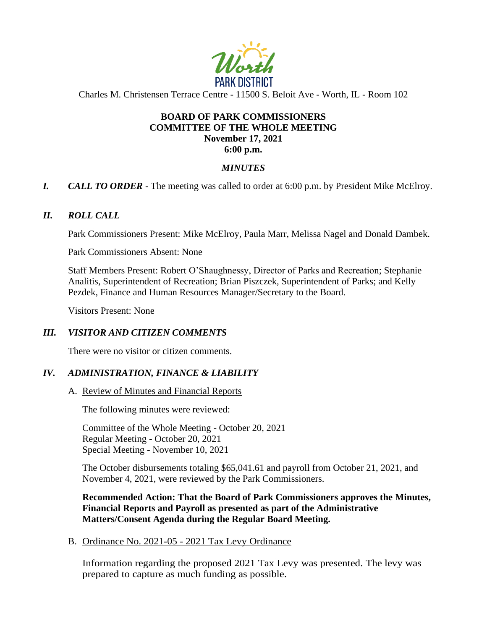

Charles M. Christensen Terrace Centre - 11500 S. Beloit Ave - Worth, IL - Room 102

#### **BOARD OF PARK COMMISSIONERS COMMITTEE OF THE WHOLE MEETING November 17, 2021 6:00 p.m.**

# *MINUTES*

*I. CALL TO ORDER* - The meeting was called to order at 6:00 p.m. by President Mike McElroy.

# *II. ROLL CALL*

Park Commissioners Present: Mike McElroy, Paula Marr, Melissa Nagel and Donald Dambek.

Park Commissioners Absent: None

Staff Members Present: Robert O'Shaughnessy, Director of Parks and Recreation; Stephanie Analitis, Superintendent of Recreation; Brian Piszczek, Superintendent of Parks; and Kelly Pezdek, Finance and Human Resources Manager/Secretary to the Board.

Visitors Present: None

# *III. VISITOR AND CITIZEN COMMENTS*

There were no visitor or citizen comments.

# *IV. ADMINISTRATION, FINANCE & LIABILITY*

A. Review of Minutes and Financial Reports

The following minutes were reviewed:

Committee of the Whole Meeting - October 20, 2021 Regular Meeting - October 20, 2021 Special Meeting - November 10, 2021

The October disbursements totaling \$65,041.61 and payroll from October 21, 2021, and November 4, 2021, were reviewed by the Park Commissioners.

**Recommended Action: That the Board of Park Commissioners approves the Minutes, Financial Reports and Payroll as presented as part of the Administrative Matters/Consent Agenda during the Regular Board Meeting.**

B. Ordinance No. 2021-05 - 2021 Tax Levy Ordinance

Information regarding the proposed 2021 Tax Levy was presented. The levy was prepared to capture as much funding as possible.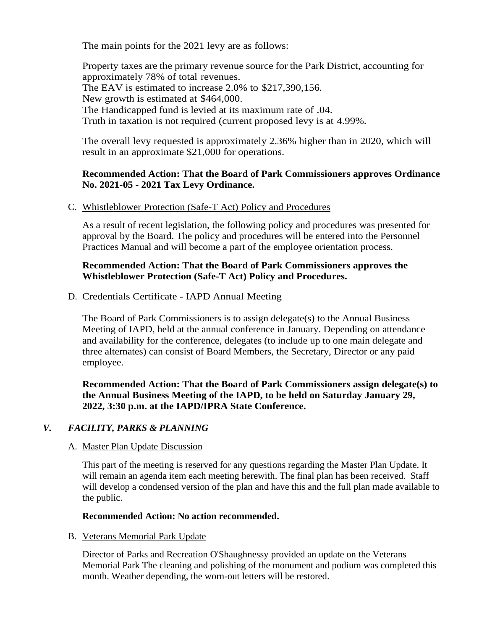The main points for the 2021 levy are as follows:

Property taxes are the primary revenue source for the Park District, accounting for approximately 78% of total revenues. The EAV is estimated to increase 2.0% to \$217,390,156. New growth is estimated at \$464,000. The Handicapped fund is levied at its maximum rate of .04. Truth in taxation is not required (current proposed levy is at 4.99%.

The overall levy requested is approximately 2.36% higher than in 2020, which will result in an approximate \$21,000 for operations.

#### **Recommended Action: That the Board of Park Commissioners approves Ordinance No. 2021-05 - 2021 Tax Levy Ordinance.**

C. Whistleblower Protection (Safe-T Act) Policy and Procedures

As a result of recent legislation, the following policy and procedures was presented for approval by the Board. The policy and procedures will be entered into the Personnel Practices Manual and will become a part of the employee orientation process.

# **Recommended Action: That the Board of Park Commissioners approves the Whistleblower Protection (Safe-T Act) Policy and Procedures.**

D. Credentials Certificate - IAPD Annual Meeting

The Board of Park Commissioners is to assign delegate(s) to the Annual Business Meeting of IAPD, held at the annual conference in January. Depending on attendance and availability for the conference, delegates (to include up to one main delegate and three alternates) can consist of Board Members, the Secretary, Director or any paid employee.

**Recommended Action: That the Board of Park Commissioners assign delegate(s) to the Annual Business Meeting of the IAPD, to be held on Saturday January 29, 2022, 3:30 p.m. at the IAPD/IPRA State Conference.** 

# *V. FACILITY, PARKS & PLANNING*

#### A. Master Plan Update Discussion

This part of the meeting is reserved for any questions regarding the Master Plan Update. It will remain an agenda item each meeting herewith. The final plan has been received. Staff will develop a condensed version of the plan and have this and the full plan made available to the public.

# **Recommended Action: No action recommended.**

B. Veterans Memorial Park Update

Director of Parks and Recreation O'Shaughnessy provided an update on the Veterans Memorial Park The cleaning and polishing of the monument and podium was completed this month. Weather depending, the worn-out letters will be restored.